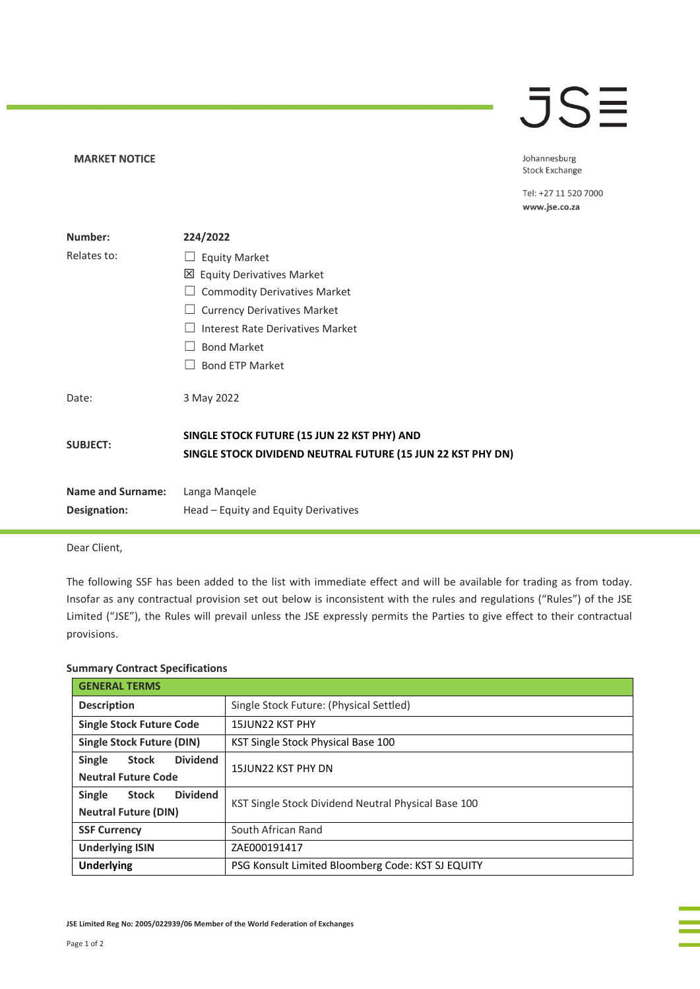## **JSE**

## **MARKET NOTICE**

Johannesburg Stock Exchange

Tel: +27 11 520 7000 www.jse.co.za

| Number:                                  | 224/2022                                                                                                   |
|------------------------------------------|------------------------------------------------------------------------------------------------------------|
| Relates to:                              | <b>Equity Market</b>                                                                                       |
|                                          | <b>Equity Derivatives Market</b><br>⊠                                                                      |
|                                          | <b>Commodity Derivatives Market</b>                                                                        |
|                                          | <b>Currency Derivatives Market</b>                                                                         |
|                                          | Interest Rate Derivatives Market                                                                           |
|                                          | <b>Bond Market</b>                                                                                         |
|                                          | <b>Bond ETP Market</b>                                                                                     |
| Date:                                    | 3 May 2022                                                                                                 |
| <b>SUBJECT:</b>                          | SINGLE STOCK FUTURE (15 JUN 22 KST PHY) AND<br>SINGLE STOCK DIVIDEND NEUTRAL FUTURE (15 JUN 22 KST PHY DN) |
| <b>Name and Surname:</b><br>Designation: | Langa Mangele<br>Head – Equity and Equity Derivatives                                                      |

Dear Client,

The following SSF has been added to the list with immediate effect and will be available for trading as from today. Insofar as any contractual provision set out below is inconsistent with the rules and regulations ("Rules") of the JSE Limited ("JSE"), the Rules will prevail unless the JSE expressly permits the Parties to give effect to their contractual provisions.

## **Summary Contract Specifications**

| <b>GENERAL TERMS</b>                      |                                                     |  |
|-------------------------------------------|-----------------------------------------------------|--|
| <b>Description</b>                        | Single Stock Future: (Physical Settled)             |  |
| <b>Single Stock Future Code</b>           | 15JUN22 KST PHY                                     |  |
| <b>Single Stock Future (DIN)</b>          | KST Single Stock Physical Base 100                  |  |
| <b>Dividend</b><br>Single<br>Stock        | 15JUN22 KST PHY DN                                  |  |
| <b>Neutral Future Code</b>                |                                                     |  |
| <b>Dividend</b><br>Single<br><b>Stock</b> | KST Single Stock Dividend Neutral Physical Base 100 |  |
| <b>Neutral Future (DIN)</b>               |                                                     |  |
| <b>SSF Currency</b>                       | South African Rand                                  |  |
| <b>Underlying ISIN</b>                    | ZAE000191417                                        |  |
| <b>Underlying</b>                         | PSG Konsult Limited Bloomberg Code: KST SJ EQUITY   |  |